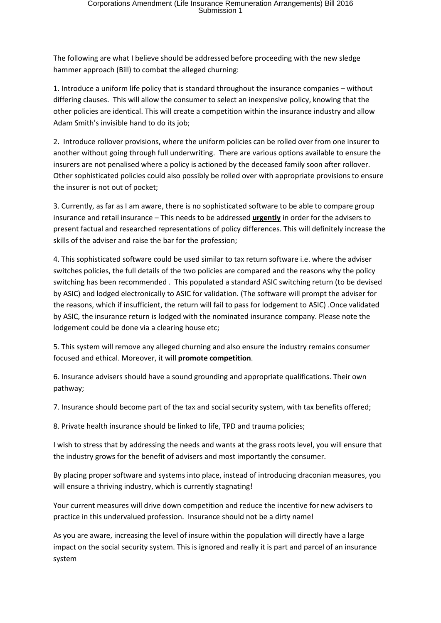The following are what I believe should be addressed before proceeding with the new sledge hammer approach (Bill) to combat the alleged churning:

1. Introduce a uniform life policy that is standard throughout the insurance companies – without differing clauses. This will allow the consumer to select an inexpensive policy, knowing that the other policies are identical. This will create a competition within the insurance industry and allow Adam Smith's invisible hand to do its job;

2. Introduce rollover provisions, where the uniform policies can be rolled over from one insurer to another without going through full underwriting. There are various options available to ensure the insurers are not penalised where a policy is actioned by the deceased family soon after rollover. Other sophisticated policies could also possibly be rolled over with appropriate provisions to ensure the insurer is not out of pocket;

3. Currently, as far as I am aware, there is no sophisticated software to be able to compare group insurance and retail insurance – This needs to be addressed **urgently** in order for the advisers to present factual and researched representations of policy differences. This will definitely increase the skills of the adviser and raise the bar for the profession;

4. This sophisticated software could be used similar to tax return software i.e. where the adviser switches policies, the full details of the two policies are compared and the reasons why the policy switching has been recommended . This populated a standard ASIC switching return (to be devised by ASIC) and lodged electronically to ASIC for validation. (The software will prompt the adviser for the reasons, which if insufficient, the return will fail to pass for lodgement to ASIC) .Once validated by ASIC, the insurance return is lodged with the nominated insurance company. Please note the lodgement could be done via a clearing house etc;

5. This system will remove any alleged churning and also ensure the industry remains consumer focused and ethical. Moreover, it will **promote competition**.

6. Insurance advisers should have a sound grounding and appropriate qualifications. Their own pathway;

7. Insurance should become part of the tax and social security system, with tax benefits offered;

8. Private health insurance should be linked to life, TPD and trauma policies;

I wish to stress that by addressing the needs and wants at the grass roots level, you will ensure that the industry grows for the benefit of advisers and most importantly the consumer.

By placing proper software and systems into place, instead of introducing draconian measures, you will ensure a thriving industry, which is currently stagnating!

Your current measures will drive down competition and reduce the incentive for new advisers to practice in this undervalued profession. Insurance should not be a dirty name!

As you are aware, increasing the level of insure within the population will directly have a large impact on the social security system. This is ignored and really it is part and parcel of an insurance system